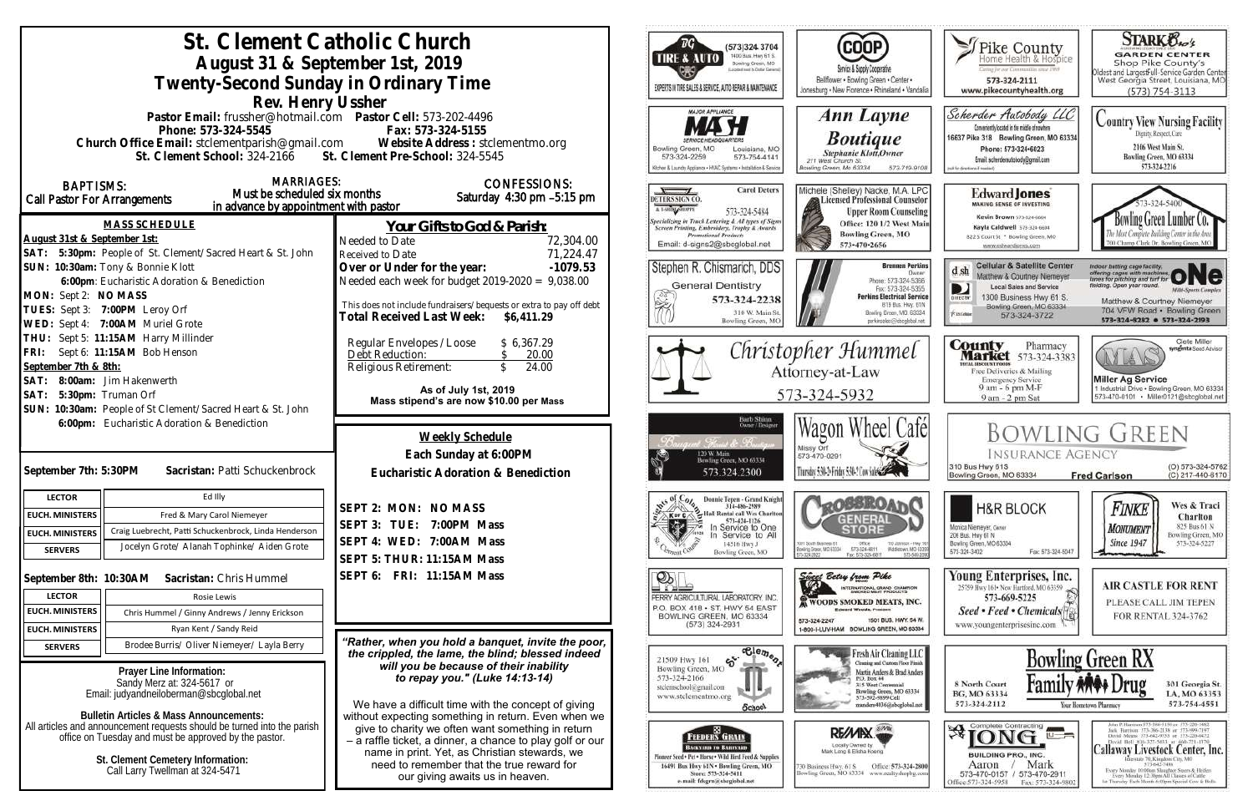| St. Clement Catholic Church<br>August 31 & September 1st, 2019<br>Twenty-Second Sunday in Ordinary Time<br>Rev. Henry Ussher                                                                                                                                         |                                                                                                                                                                                                                                                                                                        | ТG<br>(573)324 3704<br>1400 Bus. Hwy 61 S.<br><b>FIRE &amp; AUTO</b><br>Bowling Green, MO<br>cross must to Crollar Garrisona<br>EXPERTS IN TIRE SALES & SERVICE, AUTO REPAIR & MAINTENANCE<br>MAJOR APPLIANCE                                                | COOP)<br>Service & Supply Cooperative<br>Bellflower . Bowling Green . Center .<br>Jonesburg . New Florence . Rhineland . Vandali                                                                                | Pike County<br>aring for our Communities small 1969<br>573-324-2111<br>www.pikecountyhealth.org                                                                                                             | <b>STARK Oxo's</b><br><b>GARDEN CENTER</b><br>Shop Pike County's<br>Oldest and LargestFull-Service Garden Center<br>West Georgia Street, Louisiana, MO<br>$(573) 754 - 3113$                                                                                                                                                                                                                                                  |  |
|----------------------------------------------------------------------------------------------------------------------------------------------------------------------------------------------------------------------------------------------------------------------|--------------------------------------------------------------------------------------------------------------------------------------------------------------------------------------------------------------------------------------------------------------------------------------------------------|--------------------------------------------------------------------------------------------------------------------------------------------------------------------------------------------------------------------------------------------------------------|-----------------------------------------------------------------------------------------------------------------------------------------------------------------------------------------------------------------|-------------------------------------------------------------------------------------------------------------------------------------------------------------------------------------------------------------|-------------------------------------------------------------------------------------------------------------------------------------------------------------------------------------------------------------------------------------------------------------------------------------------------------------------------------------------------------------------------------------------------------------------------------|--|
| Pastor Email: frussher@hotmail.com    Pastor Cell: 573-202-4496<br>Phone: 573-324-5545<br>Fax: 573-324-5155<br>Church Office Email: stclementparish@gmail.com Website Address : stclementmo.org<br>St. Clement Pre-School: 324-5545<br>St. Clement School: 324-2166  |                                                                                                                                                                                                                                                                                                        | Bowling Green, MO<br>Louisiana, MO<br>573-324-2259<br>573-754-4141<br>Gichen & Laundry Appliance . HVAC Systems . Installation & Service                                                                                                                     | Ann Layne<br><b>Boutique</b><br>Stephanie Klott, Owner<br>211 West Church St.<br>lowling Green, Mo 63334<br>573-719-9108                                                                                        | Scherder Autobody LLC<br>Conveniently located in the middle of nowhere<br>16637 Pike 318 Bowling Green, MO 63334<br>Phone: 573+324+6023<br>Email: scherderautobody@gmail.com<br>beheart 5 and the till fiel | <b>Country View Nursing Facility</b><br>Dignity, Respect, Care<br>2106 West Main St.<br>Bowling Green, MO 63334<br>573-324-2216                                                                                                                                                                                                                                                                                               |  |
| <b>MARRIAGES:</b><br><b>BAPTISMS:</b><br>Must be scheduled six months<br>Call Pastor For Arrangements<br>in advance by appointment with pastor<br><b>MASS SCHEDULE</b><br>August 31st & September 1st:<br>SAT: 5:30pm: People of St. Clement/Sacred Heart & St. John | <b>CONFESSIONS:</b><br>Saturday 4:30 pm -5:15 pm<br>Your Gifts to God & Parish:<br>72,304.00<br>Needed to Date<br>71,224.47<br>Received to Date                                                                                                                                                        | <b>Carol Deters</b><br>DETERS SIGN CO.<br>A T-SHOULABORTE<br>573-324-5484<br><b>Specializing in Truck Lettering &amp; All types of Signs</b><br>Screen Printing, Embroidery, Trophy & Awards<br><b>Promotional Products</b><br>Email: d-signs2@sbcglobal.net | Michele (Shelley) Nacke, M.A. LPC<br>Licensed Professional Counselor<br><b>Upper Room Counseling</b><br>Office: 120 1/2 West Main<br><b>Bowling Green, MO</b><br>573-470-2656                                   | Edward Jones<br><b>MAKING SENSE OF INVESTING</b><br>Kevin Brown 573-324-6604<br>Kayla Caldwell 573-324-6604<br>822 S Court St * Bowling Green, MO<br>www.edwardjones.com                                    | Bowling Green Lumber<br>700 Champ Clark Dr. Bowling Green, M                                                                                                                                                                                                                                                                                                                                                                  |  |
| SUN: 10:30am: Tony & Bonnie Klott<br>6:00pm: Eucharistic Adoration & Benediction<br>MON: Sept 2: NO MASS<br>TUES: Sept 3: 7:00PM Leroy Orf<br>WED: Sept 4: 7:00AM Muriel Grote                                                                                       | $-1079.53$<br>Over or Under for the year:<br>Needed each week for budget $2019-2020 = 9,038.00$<br>This does not include fundraisers/bequests or extra to pay off debt<br>Total Received Last Week: \$6,411.29                                                                                         | Stephen R. Chismarich, DDS<br><b>General Dentistry</b><br>学<br>573-324-2238<br>310 W. Main St<br>Bowling Green, MO                                                                                                                                           | <b>Brennen Perkins</b><br>Dwner<br>Phone: 573-324-5366<br>Fax: 573-324-5355<br><b>Perkins Electrical Service</b><br>819 Bus. Hwy. 61N<br>Bowling Green, MO. 63334<br>perkinselec@shcolobal.net                  | <b>Cellular &amp; Satellite Center</b><br>d, sh<br>Matthew & Courtney Niemeyer<br><b>Local Sales and Service</b><br>1300 Business Hwy 61 S.<br>Bowling Green, MO 63334<br>Piatokie<br>573-324-3722          | Indoor batting cage facility.<br>offering cages with machines.<br>tanes for pitching and turf for<br>lelding. Open year round.<br><b>Milti-Sparts Complex</b><br>Matthew & Courtney Niemeyer<br>704 VFW Road · Bowling Green<br>573-324-8282 0 573-324-2193                                                                                                                                                                   |  |
| THU: Sept 5: 11:15AM Harry Millinder<br>FRI: Sept 6: 11:15AM Bob Henson<br>September 7th & 8th:<br>SAT: 8:00am: Jim Hakenwerth<br>SAT: 5:30pm: Truman Orf<br>SUN: 10:30am: People of St Clement/Sacred Heart & St. John                                              | Regular Envelopes / Loose<br>\$6,367.29<br>Debt Reduction:<br>20.00<br>24.00<br>Religious Retirement:<br>As of July 1st, 2019<br>Mass stipend's are now \$10.00 per Mass                                                                                                                               |                                                                                                                                                                                                                                                              | Christopher Hummel<br>Attorney-at-Law<br>573-324-5932                                                                                                                                                           |                                                                                                                                                                                                             | Clete Miller<br><b>County</b> Pharmacy<br><b>Market</b> 573-324-3383<br>syngenta Sood Advisor<br>AYLA<br><b>ITAL BISCOUNT PRODS</b><br>Free Deliveries & Mailing<br><b>Miller Ag Service</b><br><b>Emergency Service</b><br>9 am - 6 pm M-F<br>1 Industrial Drive . Bowling Green, MO 63334<br>573-470-0101 Miller0121@sbcglobal.net<br>9 am - 2 pm Sat                                                                       |  |
| 6:00pm: Eucharistic Adoration & Benediction<br>September 7th: 5:30PM<br>Sacristan: Patti Schuckenbrock                                                                                                                                                               | Weekly Schedule<br>Each Sunday at 6:00PM<br>Eucharistic Adoration & Benediction                                                                                                                                                                                                                        | Barb Shinn<br>Ovorr/Designs<br>: Thomas de Transie<br>120 W. Main<br>Bowling Green, MO 63334<br>573.324.2300                                                                                                                                                 | Wagon Wheel Café<br>Missy Orf<br>573-470-0291<br>Thursday 5:30-5 Friday 5:30-2 Cow Sales                                                                                                                        | <b>INSURANCE AGENCY</b><br>310 Bus Hwy 61S<br>Bowling Green, MO 63334                                                                                                                                       | <b>BOWLING GREEN</b><br>(O) 573-324-5762<br>(C) 217-440-6170<br><b>Fred Carlson</b>                                                                                                                                                                                                                                                                                                                                           |  |
| Ed Illy<br><b>LECTOR</b><br><b>EUCH. MINISTERS</b><br>Fred & Mary Carol Niemeyer<br>Craig Luebrecht, Patti Schuckenbrock, Linda Henderson<br><b>EUCH. MINISTERS</b><br>Jocelyn Grote/ Alanah Tophinke/ Aiden Grote<br><b>SERVERS</b>                                 | SEPT 2: MON: NO MASS<br>SEPT 3: TUE: 7:00PM Mass<br>SEPT 4: WED: 7:00AM Mass<br>SEPT 5: THUR: 11:15AM Mass                                                                                                                                                                                             | Donnie Tepen - Grand Knight<br>314-486-2989<br>2. Half Rental call Wes Charlton<br>KorC/<br>573-424-1126<br>a y<br>In Service to One<br>In Service to All<br>14516 Hwy J<br>Bowling Green, MO                                                                | <b>ASSRO</b><br>GENERAL<br>1001 South Business 61<br>Ofice<br>110 Johnson - Hwy 10<br>Middietown, MD 6339<br>Bowling Grace, MD 63304<br>573-324-6811<br>15/120-2822<br>673-549-209<br>Fax: 573-324-6811         | <b>H&amp;R BLOCK</b><br>Monica Niemeyer, Owner<br>206 Bus. Hwy 61 N<br>Bowling Green, MO 63334<br>573-324-3402<br>Fax: 573-324-5047                                                                         | Wes & Traci<br>Finke<br>Charlton<br>825 Bus 61 N<br><b>MONUMENT</b><br>Bowling Green, MO<br><b>Since 1947</b><br>573-324-5227                                                                                                                                                                                                                                                                                                 |  |
| September 8th: 10:30AM Sacristan: Chris Hummel<br><b>LECTOR</b><br>Rosie Lewis<br><b>EUCH. MINISTERS</b><br>Chris Hummel / Ginny Andrews / Jenny Erickson<br>Ryan Kent / Sandy Reid<br><b>EUCH. MINISTERS</b>                                                        | SEPT 6: FRI: 11:15AM Mass                                                                                                                                                                                                                                                                              | $\mathcal{D}_\mathbb{R}$<br>PERRY AGRICULTURAL LABORATORY, INC.<br>P.O. BOX 418 . ST. HWY 54 EAST<br>BOWLING GREEN, MO 63334<br>$(573)$ 324-2931                                                                                                             | Since Betsy from Pike<br>INTERNATIONAL GRAND CHAMFION<br><b>X WOODS SMOKED MEATS, INC.</b><br><b>Edward Woods, President</b><br>1501 BUS, HWY, 54 W.<br>573-324-2247<br>1-800-I-LUV-HAM BOWLING GREEN, MO 63334 | Young Enterprises, Inc.<br>25759 Hwy 161 - New Hartford, MO 63359<br>573-669-5225<br>Seed • Feed • Chemicals <sup>[4]</sup><br>www.youngenterprisesinc.com                                                  | <b>AIR CASTLE FOR RENT</b><br>PLEASE CALL JIM TEPEN<br>FOR RENTAL 324-3762                                                                                                                                                                                                                                                                                                                                                    |  |
| Brodee Burris/ Oliver Niemeyer/ Layla Berry<br><b>SERVERS</b><br>Prayer Line Information:<br>Sandy Merz at: 324-5617 or<br>Email: judyandheiloberman@sbcglobal.net                                                                                                   | "Rather, when you hold a banquet, invite the poor,<br>the crippled, the lame, the blind; blessed indeed<br>will you be because of their inability<br>to repay you." (Luke 14:13-14)<br>We have a difficult time with the concept of giving                                                             | $\overline{\text{e}^{\text{le}}_{\text{e}}\text{e}_{\text{e}_{\text{e}}}}$<br>$\mathfrak{S}$<br>21509 Hwy 161<br>Bowling Green, MO<br>573-324-2166<br>stelemschool@gmail.com<br>www.stclementmo.org<br>School                                                | Fresh Air Cleaning LLC<br>Cleaning and Custom Floor Finish<br>Martin Anders & Brad Anders<br>P.O. Box 44<br>315 West Centennial<br>Bowling Green, MO 63334<br>573-592-9899 Cell<br>manders4036@sbcglobal.net    | 8 North Court<br>BG, MO 63334<br>573-324-2112                                                                                                                                                               | <b>Bowling Green RX</b><br>301 Georgia St.<br>LA, MO 63353<br>573-754-4551<br>Your Hometown Pharmacy                                                                                                                                                                                                                                                                                                                          |  |
| <b>Bulletin Articles &amp; Mass Announcements:</b><br>All articles and announcement requests should be turned into the parish<br>office on Tuesday and must be approved by the pastor.<br>St. Clement Cemetery Information:<br>Call Larry Twellman at 324-5471       | without expecting something in return. Even when we<br>give to charity we often want something in return<br>- a raffle ticket, a dinner, a chance to play golf or our<br>name in print. Yet, as Christian stewards, we<br>need to remember that the true reward for<br>our giving awaits us in heaven. | .BI.<br>FEEDERS GRAIN<br>Влекулии то Влимулии.<br>Finneer Seed + Pet . Horse . Wild Bird Feed & Supplies<br>16491 Bus Hwy 61N . Bowling Green, MO<br>Store: 573-324-5411<br>e-mail: fdsgrn@sbcglobal.net                                                     | RE/MIX<br>Locally Owned by<br>Mark Long & Elisha Koenig<br>Office: 573-324-2800<br>730 Business Hwy. 61 S<br>Bowling Green, MO 63334 www.realtyshopbg.com                                                       | $\mathcal{B}$ $\overline{ONG}$ $\overline{F}$<br><b>BUILDING PRO., INC.</b><br>Mark<br>Aaron<br>573-470-0157 / 573-470-2911<br>Office:573-324-5958<br>Fax: 573-324-980                                      | John P. Harrison 573-386-5130 or 573-220-1482<br>Jack Hurrison 573-386-2138 or 573-999-7197<br>David Means 573-642-9753 st 573-220-0472<br>David Bell 816-527-5633 or 660-721-1370<br>Callaway Livestock Center, Inc.<br>erstate 70, Kingdoni City, MO<br>573-642-7480<br>Every Monday 10:00am Sloughter Steers & Heilers<br>Every Membry 12:30pm All Classes of Cattle<br>at Thursday Each Month 6:00pm Special Cow & Bulls. |  |